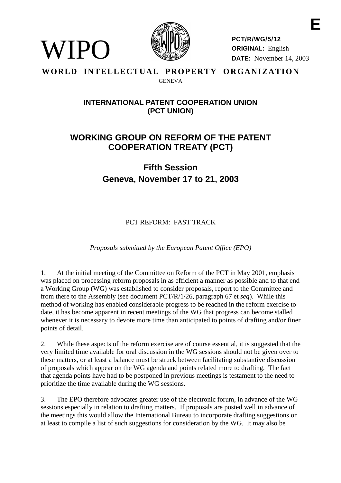

WIPO)

**PCT/R/WG/5/12 ORIGINAL:** English **DATE:** November 14, 2003

## WORLD INTELLECTUAL PROPERTY ORGANIZATION GENEVA

## **INTERNATIONAL PATENT COOPERATION UNION (PCT UNION)**

## **WORKING GROUP ON REFORM OF THE PATENT COOPERATION TREATY (PCT)**

**Fifth Session Geneva, November 17 to 21, 2003**

PCT REFORM: FAST TRACK

*Proposals submitted by the European Patent Office (EPO)*

1. At the initial meeting of the Committee on Reform of the PCT in May 2001, emphasis was placed on processing reform proposals in as efficient a manner as possible and to that end a Working Group (WG) was established to consider proposals, report to the Committee and from there to the Assembly (see document PCT/R/1/26, paragraph 67 et *seq*). While this method of working has enabled considerable progress to be reached in the reform exercise to date, it has become apparent in recent meetings of the WG that progress can become stalled whenever it is necessary to devote more time than anticipated to points of drafting and/or finer points of detail.

2. While these aspects of the reform exercise are of course essential, it is suggested that the very limited time available for oral discussion in the WG sessions should not be given over to these matters, or at least a balance must be struck between facilitating substantive discussion of proposals which appear on the WG agenda and points related more to drafting. The fact that agenda points have had to be postponed in previous meetings is testament to the need to prioritize the time available during the WG sessions.

3. The EPO therefore advocates greater use of the electronic forum, in advance of the WG sessions especially in relation to drafting matters. If proposals are posted well in advance of the meetings this would allow the International Bureau to incorporate drafting suggestions or at least to compile a list of such suggestions for consideration by the WG. It may also be